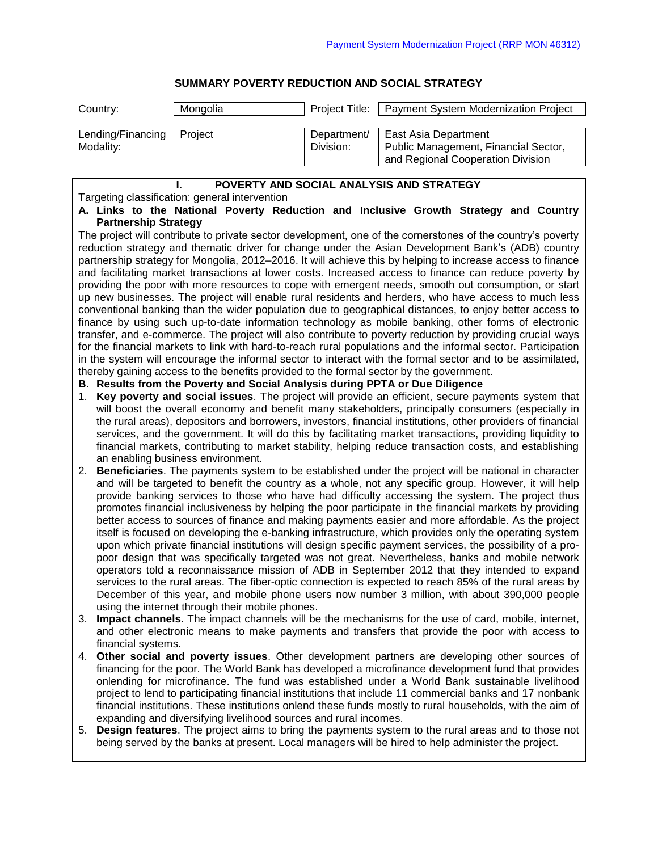## **SUMMARY POVERTY REDUCTION AND SOCIAL STRATEGY**

| Payment System Modernization Project                                                                                                                                                                                                                                                                                                                                                                                                                                                                                                                                                                                                                                                                                                                                                                                                                                                                                                                                                                                                                                        |  |  |  |
|-----------------------------------------------------------------------------------------------------------------------------------------------------------------------------------------------------------------------------------------------------------------------------------------------------------------------------------------------------------------------------------------------------------------------------------------------------------------------------------------------------------------------------------------------------------------------------------------------------------------------------------------------------------------------------------------------------------------------------------------------------------------------------------------------------------------------------------------------------------------------------------------------------------------------------------------------------------------------------------------------------------------------------------------------------------------------------|--|--|--|
| Public Management, Financial Sector,<br>and Regional Cooperation Division                                                                                                                                                                                                                                                                                                                                                                                                                                                                                                                                                                                                                                                                                                                                                                                                                                                                                                                                                                                                   |  |  |  |
|                                                                                                                                                                                                                                                                                                                                                                                                                                                                                                                                                                                                                                                                                                                                                                                                                                                                                                                                                                                                                                                                             |  |  |  |
| Targeting classification: general intervention<br>A. Links to the National Poverty Reduction and Inclusive Growth Strategy and Country                                                                                                                                                                                                                                                                                                                                                                                                                                                                                                                                                                                                                                                                                                                                                                                                                                                                                                                                      |  |  |  |
| The project will contribute to private sector development, one of the cornerstones of the country's poverty                                                                                                                                                                                                                                                                                                                                                                                                                                                                                                                                                                                                                                                                                                                                                                                                                                                                                                                                                                 |  |  |  |
| reduction strategy and thematic driver for change under the Asian Development Bank's (ADB) country                                                                                                                                                                                                                                                                                                                                                                                                                                                                                                                                                                                                                                                                                                                                                                                                                                                                                                                                                                          |  |  |  |
| partnership strategy for Mongolia, 2012–2016. It will achieve this by helping to increase access to finance                                                                                                                                                                                                                                                                                                                                                                                                                                                                                                                                                                                                                                                                                                                                                                                                                                                                                                                                                                 |  |  |  |
| and facilitating market transactions at lower costs. Increased access to finance can reduce poverty by<br>providing the poor with more resources to cope with emergent needs, smooth out consumption, or start                                                                                                                                                                                                                                                                                                                                                                                                                                                                                                                                                                                                                                                                                                                                                                                                                                                              |  |  |  |
| up new businesses. The project will enable rural residents and herders, who have access to much less                                                                                                                                                                                                                                                                                                                                                                                                                                                                                                                                                                                                                                                                                                                                                                                                                                                                                                                                                                        |  |  |  |
| conventional banking than the wider population due to geographical distances, to enjoy better access to                                                                                                                                                                                                                                                                                                                                                                                                                                                                                                                                                                                                                                                                                                                                                                                                                                                                                                                                                                     |  |  |  |
| finance by using such up-to-date information technology as mobile banking, other forms of electronic<br>transfer, and e-commerce. The project will also contribute to poverty reduction by providing crucial ways                                                                                                                                                                                                                                                                                                                                                                                                                                                                                                                                                                                                                                                                                                                                                                                                                                                           |  |  |  |
| for the financial markets to link with hard-to-reach rural populations and the informal sector. Participation                                                                                                                                                                                                                                                                                                                                                                                                                                                                                                                                                                                                                                                                                                                                                                                                                                                                                                                                                               |  |  |  |
| in the system will encourage the informal sector to interact with the formal sector and to be assimilated,                                                                                                                                                                                                                                                                                                                                                                                                                                                                                                                                                                                                                                                                                                                                                                                                                                                                                                                                                                  |  |  |  |
| thereby gaining access to the benefits provided to the formal sector by the government.<br>B. Results from the Poverty and Social Analysis during PPTA or Due Diligence                                                                                                                                                                                                                                                                                                                                                                                                                                                                                                                                                                                                                                                                                                                                                                                                                                                                                                     |  |  |  |
| Key poverty and social issues. The project will provide an efficient, secure payments system that                                                                                                                                                                                                                                                                                                                                                                                                                                                                                                                                                                                                                                                                                                                                                                                                                                                                                                                                                                           |  |  |  |
| will boost the overall economy and benefit many stakeholders, principally consumers (especially in<br>the rural areas), depositors and borrowers, investors, financial institutions, other providers of financial<br>services, and the government. It will do this by facilitating market transactions, providing liquidity to<br>financial markets, contributing to market stability, helping reduce transaction costs, and establishing                                                                                                                                                                                                                                                                                                                                                                                                                                                                                                                                                                                                                                   |  |  |  |
| 2. Beneficiaries. The payments system to be established under the project will be national in character<br>and will be targeted to benefit the country as a whole, not any specific group. However, it will help<br>provide banking services to those who have had difficulty accessing the system. The project thus<br>promotes financial inclusiveness by helping the poor participate in the financial markets by providing<br>better access to sources of finance and making payments easier and more affordable. As the project<br>itself is focused on developing the e-banking infrastructure, which provides only the operating system<br>upon which private financial institutions will design specific payment services, the possibility of a pro-<br>poor design that was specifically targeted was not great. Nevertheless, banks and mobile network<br>operators told a reconnaissance mission of ADB in September 2012 that they intended to expand<br>services to the rural areas. The fiber-optic connection is expected to reach 85% of the rural areas by |  |  |  |
| December of this year, and mobile phone users now number 3 million, with about 390,000 people                                                                                                                                                                                                                                                                                                                                                                                                                                                                                                                                                                                                                                                                                                                                                                                                                                                                                                                                                                               |  |  |  |
| Impact channels. The impact channels will be the mechanisms for the use of card, mobile, internet,                                                                                                                                                                                                                                                                                                                                                                                                                                                                                                                                                                                                                                                                                                                                                                                                                                                                                                                                                                          |  |  |  |
| and other electronic means to make payments and transfers that provide the poor with access to                                                                                                                                                                                                                                                                                                                                                                                                                                                                                                                                                                                                                                                                                                                                                                                                                                                                                                                                                                              |  |  |  |
| Other social and poverty issues. Other development partners are developing other sources of<br>financing for the poor. The World Bank has developed a microfinance development fund that provides<br>onlending for microfinance. The fund was established under a World Bank sustainable livelihood<br>project to lend to participating financial institutions that include 11 commercial banks and 17 nonbank<br>financial institutions. These institutions onlend these funds mostly to rural households, with the aim of<br><b>Design features</b> . The project aims to bring the payments system to the rural areas and to those not<br>being served by the banks at present. Local managers will be hired to help administer the project.                                                                                                                                                                                                                                                                                                                             |  |  |  |
|                                                                                                                                                                                                                                                                                                                                                                                                                                                                                                                                                                                                                                                                                                                                                                                                                                                                                                                                                                                                                                                                             |  |  |  |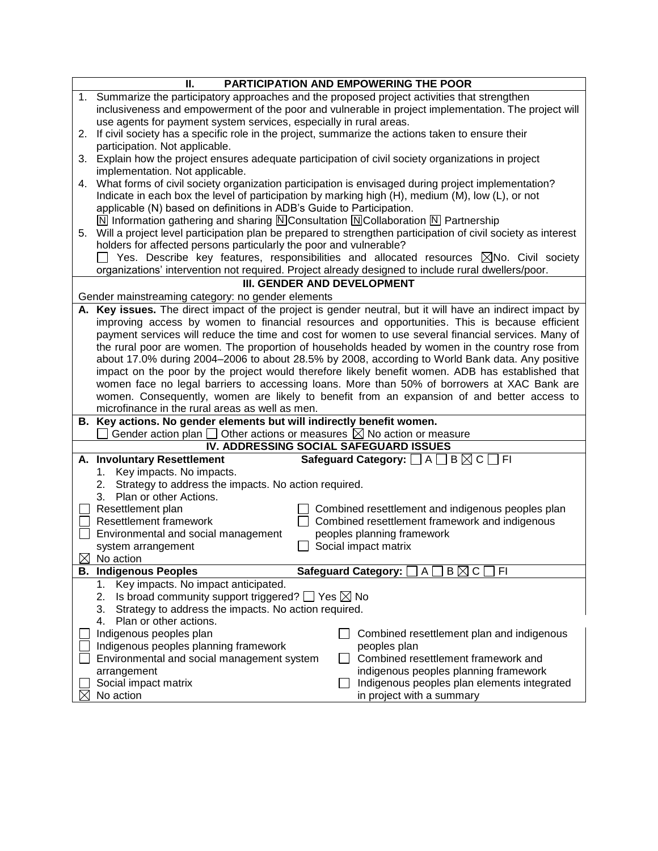|                                        | PARTICIPATION AND EMPOWERING THE POOR<br>Ш.                                                                                                          |  |
|----------------------------------------|------------------------------------------------------------------------------------------------------------------------------------------------------|--|
|                                        | 1. Summarize the participatory approaches and the proposed project activities that strengthen                                                        |  |
|                                        | inclusiveness and empowerment of the poor and vulnerable in project implementation. The project will                                                 |  |
|                                        | use agents for payment system services, especially in rural areas.                                                                                   |  |
|                                        | 2. If civil society has a specific role in the project, summarize the actions taken to ensure their                                                  |  |
|                                        | participation. Not applicable.                                                                                                                       |  |
| 3.                                     | Explain how the project ensures adequate participation of civil society organizations in project                                                     |  |
|                                        | implementation. Not applicable.                                                                                                                      |  |
| 4.                                     | What forms of civil society organization participation is envisaged during project implementation?                                                   |  |
|                                        | Indicate in each box the level of participation by marking high (H), medium (M), low (L), or not                                                     |  |
|                                        | applicable (N) based on definitions in ADB's Guide to Participation.                                                                                 |  |
|                                        | $\boxed{\text{N}}$ Information gathering and sharing $\boxed{\text{N}}$ Consultation $\boxed{\text{N}}$ Collaboration $\boxed{\text{N}}$ Partnership |  |
|                                        | 5. Will a project level participation plan be prepared to strengthen participation of civil society as interest                                      |  |
|                                        | holders for affected persons particularly the poor and vulnerable?                                                                                   |  |
|                                        | Yes. Describe key features, responsibilities and allocated resources $\boxtimes$ No. Civil society                                                   |  |
|                                        | organizations' intervention not required. Project already designed to include rural dwellers/poor.                                                   |  |
|                                        | III. GENDER AND DEVELOPMENT                                                                                                                          |  |
|                                        | Gender mainstreaming category: no gender elements                                                                                                    |  |
|                                        | A. Key issues. The direct impact of the project is gender neutral, but it will have an indirect impact by                                            |  |
|                                        | improving access by women to financial resources and opportunities. This is because efficient                                                        |  |
|                                        | payment services will reduce the time and cost for women to use several financial services. Many of                                                  |  |
|                                        | the rural poor are women. The proportion of households headed by women in the country rose from                                                      |  |
|                                        | about 17.0% during 2004-2006 to about 28.5% by 2008, according to World Bank data. Any positive                                                      |  |
|                                        | impact on the poor by the project would therefore likely benefit women. ADB has established that                                                     |  |
|                                        | women face no legal barriers to accessing loans. More than 50% of borrowers at XAC Bank are                                                          |  |
|                                        | women. Consequently, women are likely to benefit from an expansion of and better access to                                                           |  |
|                                        | microfinance in the rural areas as well as men.                                                                                                      |  |
|                                        | B. Key actions. No gender elements but will indirectly benefit women.                                                                                |  |
|                                        | Gender action plan $\Box$ Other actions or measures $\boxtimes$ No action or measure                                                                 |  |
| IV. ADDRESSING SOCIAL SAFEGUARD ISSUES |                                                                                                                                                      |  |
|                                        | Safeguard Category: $\Box$ A $\Box$ B $\boxtimes$ C $\Box$ FI<br>A. Involuntary Resettlement                                                         |  |
|                                        | Key impacts. No impacts.<br>1.                                                                                                                       |  |
|                                        | Strategy to address the impacts. No action required.<br>2.                                                                                           |  |
|                                        | 3. Plan or other Actions.                                                                                                                            |  |
|                                        | Resettlement plan<br>Combined resettlement and indigenous peoples plan                                                                               |  |
|                                        | <b>Resettlement framework</b><br>Combined resettlement framework and indigenous                                                                      |  |
|                                        | Environmental and social management<br>peoples planning framework                                                                                    |  |
|                                        | Social impact matrix<br>system arrangement                                                                                                           |  |
|                                        | $\boxtimes$ No action                                                                                                                                |  |
|                                        | $B \boxtimes C$<br><b>B. Indigenous Peoples</b><br><b>Safeguard Category:</b><br>FI<br>A                                                             |  |
|                                        | Key impacts. No impact anticipated.<br>1.                                                                                                            |  |
|                                        | Is broad community support triggered? $\Box$ Yes $\boxtimes$ No<br>2.                                                                                |  |
|                                        | Strategy to address the impacts. No action required.<br>3.                                                                                           |  |
|                                        | Plan or other actions.<br>4.                                                                                                                         |  |
|                                        | Indigenous peoples plan<br>Combined resettlement plan and indigenous                                                                                 |  |
|                                        | Indigenous peoples planning framework<br>peoples plan                                                                                                |  |
|                                        | Combined resettlement framework and<br>Environmental and social management system                                                                    |  |
|                                        | indigenous peoples planning framework<br>arrangement                                                                                                 |  |
|                                        | Social impact matrix<br>Indigenous peoples plan elements integrated                                                                                  |  |
|                                        | No action<br>in project with a summary                                                                                                               |  |